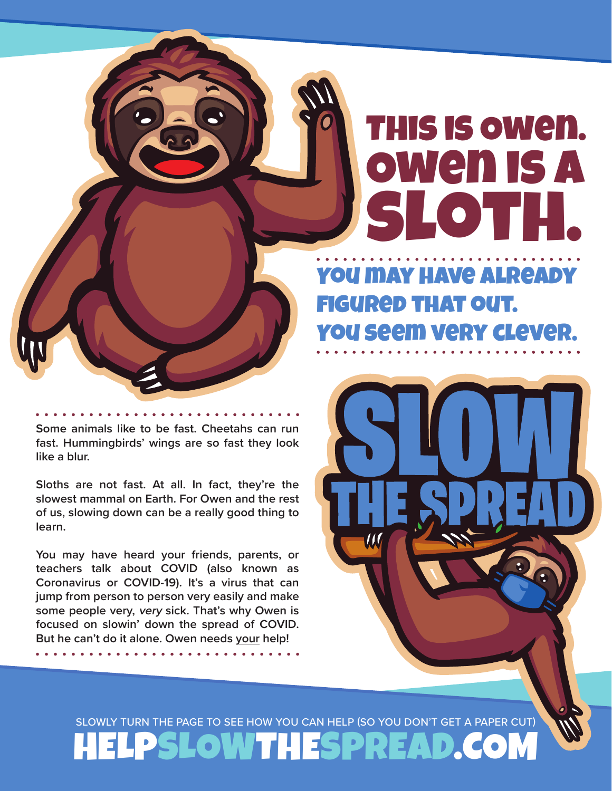## This is Owen. Owen is a sloth.

You may have already figured that out. You seem very clever.

**Some animals like to be fast. Cheetahs can run fast. Hummingbirds' wings are so fast they look like a blur.** 

**Sloths are not fast. At all. In fact, they're the slowest mammal on Earth. For Owen and the rest of us, slowing down can be a really good thing to learn.** 

**You may have heard your friends, parents, or teachers talk about COVID (also known as Coronavirus or COVID-19). It's a virus that can jump from person to person very easily and make some people very, very sick. That's why Owen is focused on slowin' down the spread of COVID. But he can't do it alone. Owen needs your help!**

SLOWLY TURN THE PAGE TO SEE HOW YOU CAN HELP (SO YOU DON'T GET A PAPER CUT) HELPSLOWTHESPREAD.CO